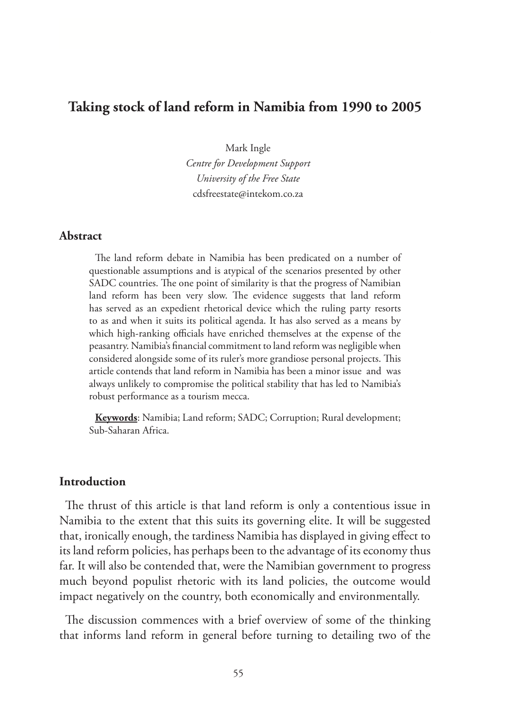# **Taking stock of land reform in Namibia from 1990 to 2005**

Mark Ingle *Centre for Development Support University of the Free State* cdsfreestate@intekom.co.za

### **Abstract**

The land reform debate in Namibia has been predicated on a number of questionable assumptions and is atypical of the scenarios presented by other SADC countries. The one point of similarity is that the progress of Namibian land reform has been very slow. The evidence suggests that land reform has served as an expedient rhetorical device which the ruling party resorts to as and when it suits its political agenda. It has also served as a means by which high-ranking officials have enriched themselves at the expense of the peasantry. Namibia's financial commitment to land reform was negligible when considered alongside some of its ruler's more grandiose personal projects. This article contends that land reform in Namibia has been a minor issue and was always unlikely to compromise the political stability that has led to Namibia's robust performance as a tourism mecca.

**Keywords**: Namibia; Land reform; SADC; Corruption; Rural development; Sub-Saharan Africa.

# **Introduction**

The thrust of this article is that land reform is only a contentious issue in Namibia to the extent that this suits its governing elite. It will be suggested that, ironically enough, the tardiness Namibia has displayed in giving effect to its land reform policies, has perhaps been to the advantage of its economy thus far. It will also be contended that, were the Namibian government to progress much beyond populist rhetoric with its land policies, the outcome would impact negatively on the country, both economically and environmentally.

The discussion commences with a brief overview of some of the thinking that informs land reform in general before turning to detailing two of the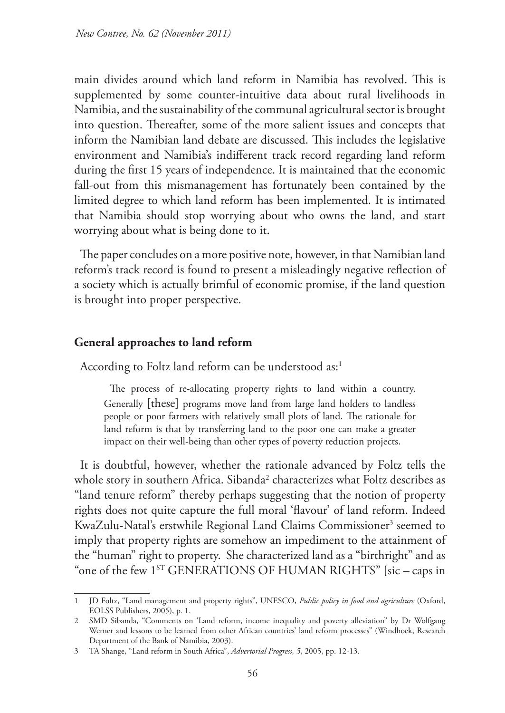main divides around which land reform in Namibia has revolved. This is supplemented by some counter-intuitive data about rural livelihoods in Namibia, and the sustainability of the communal agricultural sector is brought into question. Thereafter, some of the more salient issues and concepts that inform the Namibian land debate are discussed. This includes the legislative environment and Namibia's indifferent track record regarding land reform during the first 15 years of independence. It is maintained that the economic fall-out from this mismanagement has fortunately been contained by the limited degree to which land reform has been implemented. It is intimated that Namibia should stop worrying about who owns the land, and start worrying about what is being done to it.

The paper concludes on a more positive note, however, in that Namibian land reform's track record is found to present a misleadingly negative reflection of a society which is actually brimful of economic promise, if the land question is brought into proper perspective.

# **General approaches to land reform**

According to Foltz land reform can be understood as:<sup>1</sup>

The process of re-allocating property rights to land within a country. Generally [these] programs move land from large land holders to landless people or poor farmers with relatively small plots of land. The rationale for land reform is that by transferring land to the poor one can make a greater impact on their well-being than other types of poverty reduction projects.

It is doubtful, however, whether the rationale advanced by Foltz tells the whole story in southern Africa. Sibanda<sup>2</sup> characterizes what Foltz describes as "land tenure reform" thereby perhaps suggesting that the notion of property rights does not quite capture the full moral 'flavour' of land reform. Indeed KwaZulu-Natal's erstwhile Regional Land Claims Commissioner<sup>3</sup> seemed to imply that property rights are somehow an impediment to the attainment of the "human" right to property. She characterized land as a "birthright" and as "one of the few 1ST GENERATIONS OF HUMAN RIGHTS" [sic *–* caps in

<sup>1</sup> JD Foltz, "Land management and property rights", UNESCO, *Public policy in food and agriculture* (Oxford, EOLSS Publishers, 2005), p. 1.

<sup>2</sup> SMD Sibanda, "Comments on 'Land reform, income inequality and poverty alleviation" by Dr Wolfgang Werner and lessons to be learned from other African countries' land reform processes" (Windhoek, Research Department of the Bank of Namibia, 2003).

<sup>3</sup> TA Shange, "Land reform in South Africa", *Advertorial Progress, 5*, 2005, pp. 12-13.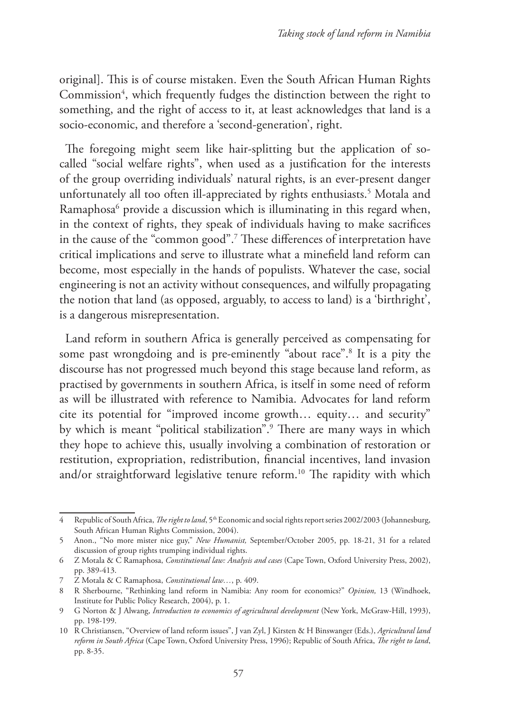original]. This is of course mistaken. Even the South African Human Rights Commission<sup>4</sup>, which frequently fudges the distinction between the right to something, and the right of access to it, at least acknowledges that land is a socio-economic, and therefore a 'second-generation', right.

The foregoing might seem like hair-splitting but the application of socalled "social welfare rights", when used as a justification for the interests of the group overriding individuals' natural rights, is an ever-present danger unfortunately all too often ill-appreciated by rights enthusiasts.5 Motala and Ramaphosa6 provide a discussion which is illuminating in this regard when, in the context of rights, they speak of individuals having to make sacrifices in the cause of the "common good".7 These differences of interpretation have critical implications and serve to illustrate what a minefield land reform can become, most especially in the hands of populists. Whatever the case, social engineering is not an activity without consequences, and wilfully propagating the notion that land (as opposed, arguably, to access to land) is a 'birthright', is a dangerous misrepresentation.

Land reform in southern Africa is generally perceived as compensating for some past wrongdoing and is pre-eminently "about race".8 It is a pity the discourse has not progressed much beyond this stage because land reform, as practised by governments in southern Africa, is itself in some need of reform as will be illustrated with reference to Namibia. Advocates for land reform cite its potential for "improved income growth… equity… and security" by which is meant "political stabilization".9 There are many ways in which they hope to achieve this, usually involving a combination of restoration or restitution, expropriation, redistribution, financial incentives, land invasion and/or straightforward legislative tenure reform.<sup>10</sup> The rapidity with which

Republic of South Africa, *The right to land*, 5<sup>th</sup> Economic and social rights report series 2002/2003 (Johannesburg, South African Human Rights Commission, 2004).

<sup>5</sup> Anon., "No more mister nice guy," *New Humanist,* September/October 2005, pp. 18-21, 31 for a related discussion of group rights trumping individual rights.

<sup>6</sup> Z Motala & C Ramaphosa, *Constitutional law: Analysis and cases* (Cape Town, Oxford University Press, 2002), pp. 389-413.

<sup>7</sup> Z Motala & C Ramaphosa, *Constitutional law…*, p. 409.

<sup>8</sup> R Sherbourne, "Rethinking land reform in Namibia: Any room for economics?" *Opinion,* 13 (Windhoek, Institute for Public Policy Research, 2004), p. 1.

<sup>9</sup> G Norton & J Alwang, *Introduction to economics of agricultural development* (New York, McGraw-Hill, 1993), pp. 198-199.

<sup>10</sup> R Christiansen, "Overview of land reform issues", J van Zyl, J Kirsten & H Binswanger (Eds.), *Agricultural land reform in South Africa* (Cape Town, Oxford University Press, 1996); Republic of South Africa, *The right to land*, pp. 8-35.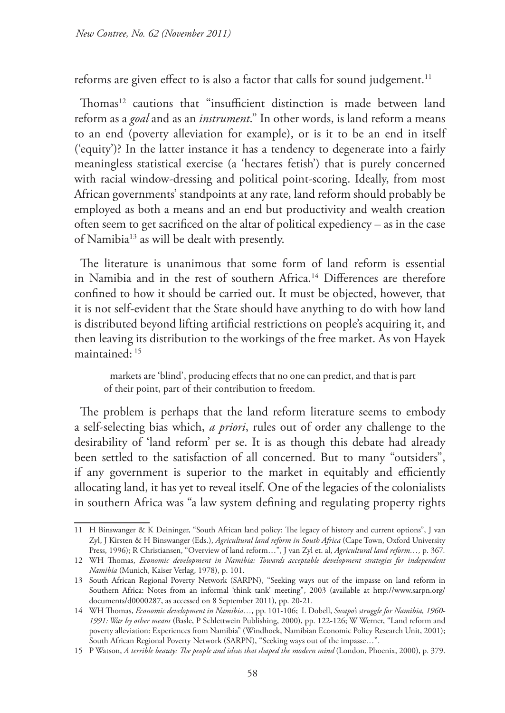reforms are given effect to is also a factor that calls for sound judgement.<sup>11</sup>

Thomas<sup>12</sup> cautions that "insufficient distinction is made between land reform as a *goal* and as an *instrument*." In other words, is land reform a means to an end (poverty alleviation for example), or is it to be an end in itself ('equity')? In the latter instance it has a tendency to degenerate into a fairly meaningless statistical exercise (a 'hectares fetish') that is purely concerned with racial window-dressing and political point-scoring. Ideally, from most African governments' standpoints at any rate, land reform should probably be employed as both a means and an end but productivity and wealth creation often seem to get sacrificed on the altar of political expediency – as in the case of Namibia13 as will be dealt with presently.

The literature is unanimous that some form of land reform is essential in Namibia and in the rest of southern Africa.14 Differences are therefore confined to how it should be carried out. It must be objected, however, that it is not self-evident that the State should have anything to do with how land is distributed beyond lifting artificial restrictions on people's acquiring it, and then leaving its distribution to the workings of the free market. As von Hayek maintained: 15

markets are 'blind', producing effects that no one can predict, and that is part of their point, part of their contribution to freedom.

The problem is perhaps that the land reform literature seems to embody a self-selecting bias which, *a priori*, rules out of order any challenge to the desirability of 'land reform' per se. It is as though this debate had already been settled to the satisfaction of all concerned. But to many "outsiders", if any government is superior to the market in equitably and efficiently allocating land, it has yet to reveal itself. One of the legacies of the colonialists in southern Africa was "a law system defining and regulating property rights

<sup>11</sup> H Binswanger & K Deininger, "South African land policy: The legacy of history and current options", J van Zyl, J Kirsten & H Binswanger (Eds.), *Agricultural land reform in South Africa* (Cape Town, Oxford University Press, 1996); R Christiansen, "Overview of land reform…", J van Zyl et. al, *Agricultural land reform…,* p. 367*.*

<sup>12</sup> WH Thomas, *Economic development in Namibia: Towards acceptable development strategies for independent Namibia* (Munich, Kaiser Verlag, 1978), p. 101.

<sup>13</sup> South African Regional Poverty Network (SARPN), "Seeking ways out of the impasse on land reform in Southern Africa: Notes from an informal 'think tank' meeting", 2003 (available at http://www.sarpn.org/ documents/d0000287, as accessed on 8 September 2011), pp. 20-21.

<sup>14</sup> WH Thomas, *Economic development in Namibia…,* pp. 101-106; L Dobell, *Swapo's struggle for Namibia, 1960- 1991: War by other means* (Basle, P Schlettwein Publishing, 2000), pp. 122-126; W Werner, "Land reform and poverty alleviation: Experiences from Namibia" (Windhoek, Namibian Economic Policy Research Unit, 2001); South African Regional Poverty Network (SARPN), "Seeking ways out of the impasse…".

<sup>15</sup> P Watson, *A terrible beauty: The people and ideas that shaped the modern mind* (London, Phoenix, 2000), p. 379.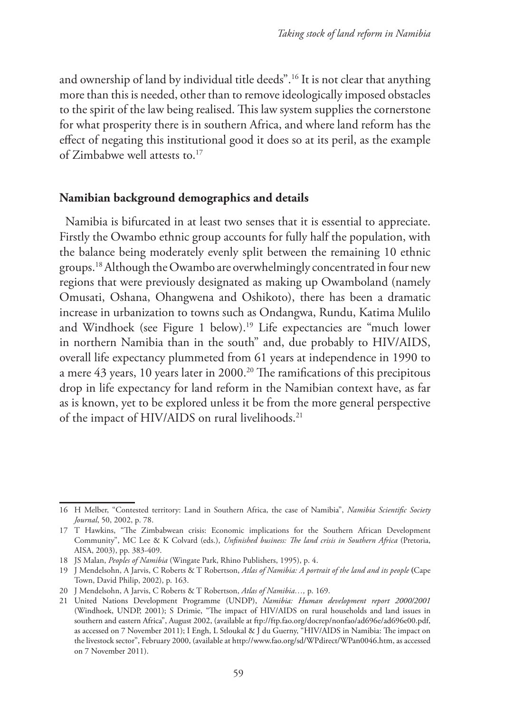and ownership of land by individual title deeds".16 It is not clear that anything more than this is needed, other than to remove ideologically imposed obstacles to the spirit of the law being realised. This law system supplies the cornerstone for what prosperity there is in southern Africa, and where land reform has the effect of negating this institutional good it does so at its peril, as the example of Zimbabwe well attests to.17

### **Namibian background demographics and details**

Namibia is bifurcated in at least two senses that it is essential to appreciate. Firstly the Owambo ethnic group accounts for fully half the population, with the balance being moderately evenly split between the remaining 10 ethnic groups.18 Although the Owambo are overwhelmingly concentrated in four new regions that were previously designated as making up Owamboland (namely Omusati, Oshana, Ohangwena and Oshikoto), there has been a dramatic increase in urbanization to towns such as Ondangwa, Rundu, Katima Mulilo and Windhoek (see Figure 1 below).<sup>19</sup> Life expectancies are "much lower in northern Namibia than in the south" and, due probably to HIV/AIDS, overall life expectancy plummeted from 61 years at independence in 1990 to a mere 43 years, 10 years later in 2000.<sup>20</sup> The ramifications of this precipitous drop in life expectancy for land reform in the Namibian context have, as far as is known, yet to be explored unless it be from the more general perspective of the impact of HIV/AIDS on rural livelihoods.<sup>21</sup>

<sup>16</sup> H Melber, "Contested territory: Land in Southern Africa, the case of Namibia", *Namibia Scientific Society Journal*, 50, 2002, p. 78.

<sup>17</sup> T Hawkins, "The Zimbabwean crisis: Economic implications for the Southern African Development Community", MC Lee & K Colvard (eds.), *Unfinished business: The land crisis in Southern Africa* (Pretoria, AISA, 2003), pp. 383-409.

<sup>18</sup> JS Malan, *Peoples of Namibia* (Wingate Park, Rhino Publishers, 1995), p. 4.

<sup>19</sup> J Mendelsohn, A Jarvis, C Roberts & T Robertson, *Atlas of Namibia: A portrait of the land and its people* **(**Cape Town, David Philip, 2002), p. 163.

<sup>20</sup> J Mendelsohn, A Jarvis, C Roberts & T Robertson, *Atlas of Namibia…,* p. 169.

<sup>21</sup> United Nations Development Programme (UNDP), *Namibia: Human development report 2000/2001*  (Windhoek, UNDP, 2001); S Drimie, "The impact of HIV/AIDS on rural households and land issues in southern and eastern Africa", August 2002, (available at ftp://ftp.fao.org/docrep/nonfao/ad696e/ad696e00.pdf, as accessed on 7 November 2011); I Engh, L Stloukal & J du Guerny, "HIV/AIDS in Namibia: The impact on the livestock sector", February 2000, (available at http://www.fao.org/sd/WPdirect/WPan0046.htm, as accessed on 7 November 2011).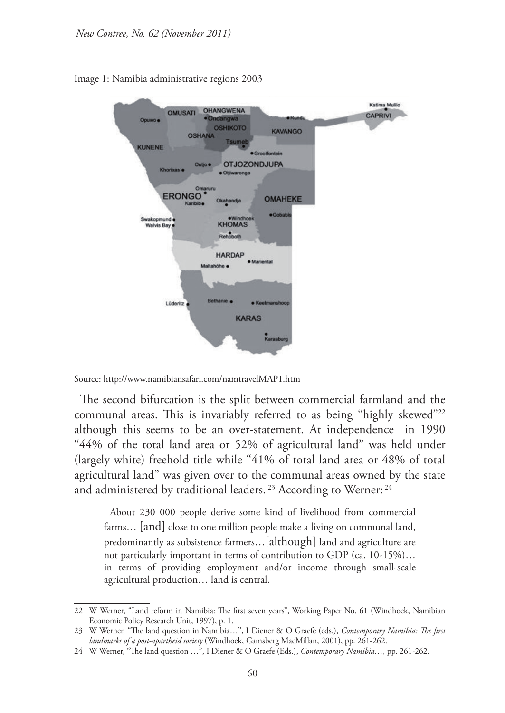

Image 1: Namibia administrative regions 2003

Source: http://www.namibiansafari.com/namtravelMAP1.htm

The second bifurcation is the split between commercial farmland and the communal areas. This is invariably referred to as being "highly skewed"<sup>22</sup> although this seems to be an over-statement. At independence in 1990 "44% of the total land area or 52% of agricultural land" was held under (largely white) freehold title while "41% of total land area or 48% of total agricultural land" was given over to the communal areas owned by the state and administered by traditional leaders.<sup>23</sup> According to Werner:<sup>24</sup>

About 230 000 people derive some kind of livelihood from commercial farms… [and] close to one million people make a living on communal land, predominantly as subsistence farmers…[although] land and agriculture are not particularly important in terms of contribution to GDP (ca. 10-15%)… in terms of providing employment and/or income through small-scale agricultural production… land is central.

<sup>22</sup> W Werner, "Land reform in Namibia: The first seven years", Working Paper No. 61 (Windhoek, Namibian Economic Policy Research Unit, 1997), p. 1.

<sup>23</sup> W Werner, "The land question in Namibia...", I Diener & O Graefe (eds.), *Contemporary Namibia: The first landmarks of a post-apartheid society* (Windhoek, Gamsberg MacMillan, 2001), pp. 261-262.

<sup>24</sup> W Werner, "The land question ...", I Diener & O Graefe (Eds.), *Contemporary Namibia...*, pp. 261-262.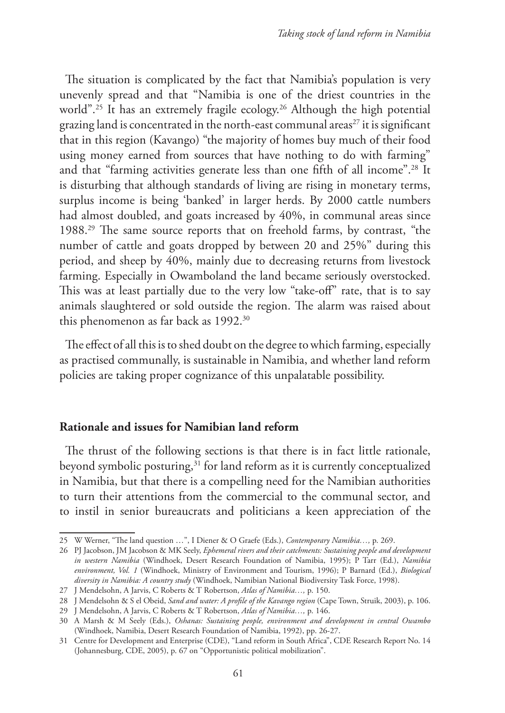The situation is complicated by the fact that Namibia's population is very unevenly spread and that "Namibia is one of the driest countries in the world".<sup>25</sup> It has an extremely fragile ecology.<sup>26</sup> Although the high potential grazing land is concentrated in the north-east communal areas<sup>27</sup> it is significant that in this region (Kavango) "the majority of homes buy much of their food using money earned from sources that have nothing to do with farming" and that "farming activities generate less than one fifth of all income".28 It is disturbing that although standards of living are rising in monetary terms, surplus income is being 'banked' in larger herds. By 2000 cattle numbers had almost doubled, and goats increased by 40%, in communal areas since 1988.29 The same source reports that on freehold farms, by contrast, "the number of cattle and goats dropped by between 20 and 25%" during this period, and sheep by 40%, mainly due to decreasing returns from livestock farming. Especially in Owamboland the land became seriously overstocked. This was at least partially due to the very low "take-off" rate, that is to say animals slaughtered or sold outside the region. The alarm was raised about this phenomenon as far back as 1992.<sup>30</sup>

The effect of all this is to shed doubt on the degree to which farming, especially as practised communally, is sustainable in Namibia, and whether land reform policies are taking proper cognizance of this unpalatable possibility.

### **Rationale and issues for Namibian land reform**

The thrust of the following sections is that there is in fact little rationale, beyond symbolic posturing,<sup>31</sup> for land reform as it is currently conceptualized in Namibia, but that there is a compelling need for the Namibian authorities to turn their attentions from the commercial to the communal sector, and to instil in senior bureaucrats and politicians a keen appreciation of the

<sup>25</sup> W Werner, "The land question …", I Diener & O Graefe (Eds.), *Contemporary Namibia…,* p. 269.

<sup>26</sup> PJ Jacobson, JM Jacobson & MK Seely, *Ephemeral rivers and their catchments: Sustaining people and development in western Namibia* (Windhoek, Desert Research Foundation of Namibia, 1995); P Tarr (Ed.), *Namibia environment, Vol. 1* (Windhoek, Ministry of Environment and Tourism, 1996); P Barnard (Ed.), *Biological diversity in Namibia: A country study* (Windhoek, Namibian National Biodiversity Task Force, 1998).

<sup>27</sup> J Mendelsohn, A Jarvis, C Roberts & T Robertson, *Atlas of Namibia…,* p. 150.

<sup>28</sup> J Mendelsohn & S el Obeid, *Sand and water: A profile of the Kavango region* (Cape Town, Struik, 2003), p. 106.

<sup>29</sup> J Mendelsohn, A Jarvis, C Roberts & T Robertson, *Atlas of Namibia…,* p. 146.

<sup>30</sup> A Marsh & M Seely (Eds.), *Oshanas: Sustaining people, environment and development in central Owambo*  (Windhoek, Namibia, Desert Research Foundation of Namibia, 1992), pp. 26-27.

<sup>31</sup> Centre for Development and Enterprise (CDE), "Land reform in South Africa", CDE Research Report No. 14 (Johannesburg, CDE, 2005), p. 67 on "Opportunistic political mobilization".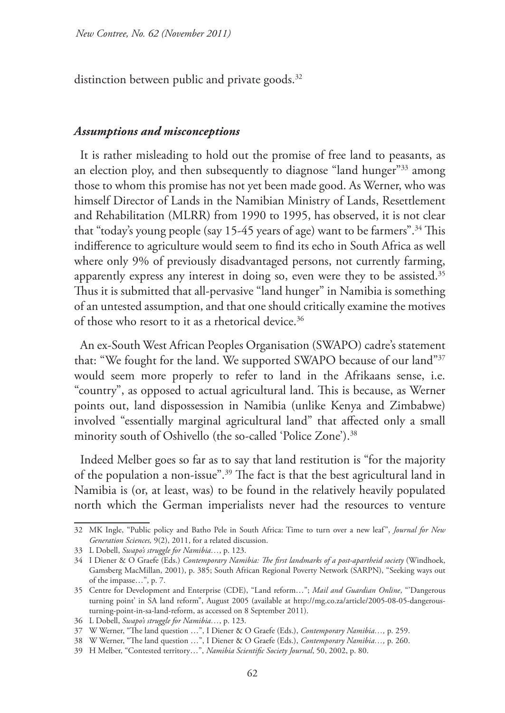distinction between public and private goods.<sup>32</sup>

### *Assumptions and misconceptions*

It is rather misleading to hold out the promise of free land to peasants, as an election ploy, and then subsequently to diagnose "land hunger"33 among those to whom this promise has not yet been made good. As Werner, who was himself Director of Lands in the Namibian Ministry of Lands, Resettlement and Rehabilitation (MLRR) from 1990 to 1995, has observed, it is not clear that "today's young people (say 15-45 years of age) want to be farmers".34 This indifference to agriculture would seem to find its echo in South Africa as well where only 9% of previously disadvantaged persons, not currently farming, apparently express any interest in doing so, even were they to be assisted.<sup>35</sup> Thus it is submitted that all-pervasive "land hunger" in Namibia is something of an untested assumption, and that one should critically examine the motives of those who resort to it as a rhetorical device.<sup>36</sup>

An ex-South West African Peoples Organisation (SWAPO) cadre's statement that: "We fought for the land. We supported SWAPO because of our land"37 would seem more properly to refer to land in the Afrikaans sense, i.e. "country", as opposed to actual agricultural land. This is because, as Werner points out, land dispossession in Namibia (unlike Kenya and Zimbabwe) involved "essentially marginal agricultural land" that affected only a small minority south of Oshivello (the so-called 'Police Zone').<sup>38</sup>

Indeed Melber goes so far as to say that land restitution is "for the majority of the population a non-issue".39 The fact is that the best agricultural land in Namibia is (or, at least, was) to be found in the relatively heavily populated north which the German imperialists never had the resources to venture

<sup>32</sup> MK Ingle, "Public policy and Batho Pele in South Africa: Time to turn over a new leaf", *Journal for New Generation Sciences,* 9(2), 2011, for a related discussion.

<sup>33</sup> L Dobell, *Swapo's struggle for Namibia…*, p. 123.

<sup>34</sup> I Diener & O Graefe (Eds.) *Contemporary Namibia: The first landmarks of a post-apartheid society* (Windhoek, Gamsberg MacMillan, 2001), p. 385; South African Regional Poverty Network (SARPN), "Seeking ways out of the impasse…", p. 7.

<sup>35</sup> Centre for Development and Enterprise (CDE), "Land reform…"; *Mail and Guardian Online*, "'Dangerous turning point' in SA land reform", August 2005 (available at http://mg.co.za/article/2005-08-05-dangerousturning-point-in-sa-land-reform, as accessed on 8 September 2011).

<sup>36</sup> L Dobell, *Swapo's struggle for Namibia…*, p. 123.

<sup>37</sup> W Werner, "The land question …", I Diener & O Graefe (Eds.), *Contemporary Namibia…,* p. 259.

<sup>38</sup> W Werner, "The land question …", I Diener & O Graefe (Eds.), *Contemporary Namibia…,* p. 260.

<sup>39</sup> H Melber, "Contested territory…", *Namibia Scientific Society Journal*, 50, 2002, p. 80.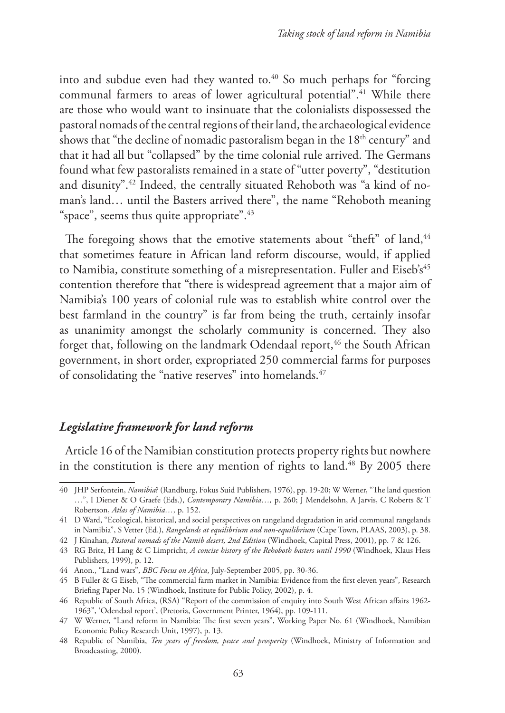into and subdue even had they wanted to.<sup>40</sup> So much perhaps for "forcing communal farmers to areas of lower agricultural potential".<sup>41</sup> While there are those who would want to insinuate that the colonialists dispossessed the pastoral nomads of the central regions of their land, the archaeological evidence shows that "the decline of nomadic pastoralism began in the  $18<sup>th</sup>$  century" and that it had all but "collapsed" by the time colonial rule arrived. The Germans found what few pastoralists remained in a state of "utter poverty", "destitution and disunity".42 Indeed, the centrally situated Rehoboth was "a kind of noman's land… until the Basters arrived there", the name "Rehoboth meaning "space", seems thus quite appropriate".<sup>43</sup>

The foregoing shows that the emotive statements about "theft" of land,<sup>44</sup> that sometimes feature in African land reform discourse, would, if applied to Namibia, constitute something of a misrepresentation. Fuller and Eiseb's<sup>45</sup> contention therefore that "there is widespread agreement that a major aim of Namibia's 100 years of colonial rule was to establish white control over the best farmland in the country" is far from being the truth, certainly insofar as unanimity amongst the scholarly community is concerned. They also forget that, following on the landmark Odendaal report,<sup>46</sup> the South African government, in short order, expropriated 250 commercial farms for purposes of consolidating the "native reserves" into homelands.<sup>47</sup>

### *Legislative framework for land reform*

Article 16 of the Namibian constitution protects property rights but nowhere in the constitution is there any mention of rights to land.<sup>48</sup> By 2005 there

<sup>40</sup> JHP Serfontein, *Namibia*? (Randburg, Fokus Suid Publishers, 1976), pp. 19-20; W Werner, "The land question …", I Diener & O Graefe (Eds.), *Contemporary Namibia…,* p. 260; J Mendelsohn, A Jarvis, C Roberts & T Robertson, *Atlas of Namibia…,* p. 152.

<sup>41</sup> D Ward, "Ecological, historical, and social perspectives on rangeland degradation in arid communal rangelands in Namibia", S Vetter (Ed.), *Rangelands at equilibrium and non-equilibrium* (Cape Town, PLAAS, 2003), p. 38.

<sup>42</sup> J Kinahan, *Pastoral nomads of the Namib desert, 2nd Edition* (Windhoek, Capital Press, 2001), pp. 7 & 126.

<sup>43</sup> RG Britz, H Lang & C Limpricht, *A concise history of the Rehoboth basters until 1990* (Windhoek, Klaus Hess Publishers, 1999), p. 12.

<sup>44</sup> Anon., "Land wars", *BBC Focus on Africa*, July-September 2005, pp. 30-36.

<sup>45</sup> B Fuller & G Eiseb, "The commercial farm market in Namibia: Evidence from the first eleven years", Research Briefing Paper No. 15 (Windhoek, Institute for Public Policy, 2002), p. 4.

<sup>46</sup> Republic of South Africa, (RSA) "Report of the commission of enquiry into South West African affairs 1962- 1963", 'Odendaal report', (Pretoria, Government Printer, 1964), pp. 109-111.

<sup>47</sup> W Werner, "Land reform in Namibia: The first seven years", Working Paper No. 61 (Windhoek, Namibian Economic Policy Research Unit, 1997), p. 13.

<sup>48</sup> Republic of Namibia, *Ten years of freedom, peace and prosperity* (Windhoek, Ministry of Information and Broadcasting, 2000).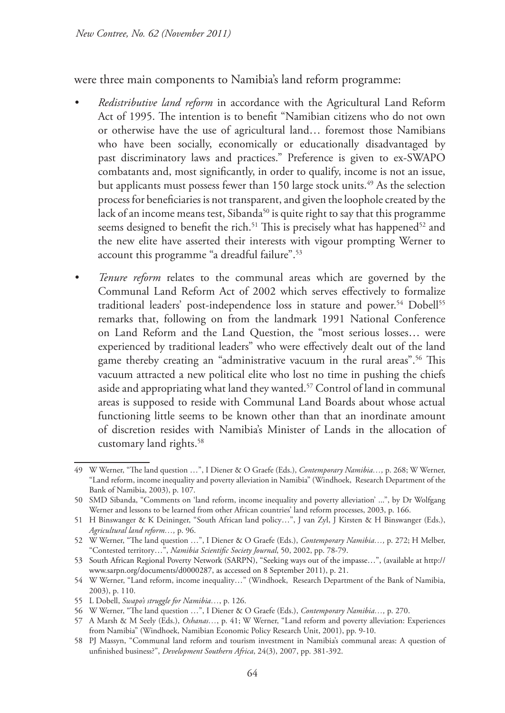were three main components to Namibia's land reform programme:

- *• Redistributive land reform* in accordance with the Agricultural Land Reform Act of 1995. The intention is to benefit "Namibian citizens who do not own or otherwise have the use of agricultural land… foremost those Namibians who have been socially, economically or educationally disadvantaged by past discriminatory laws and practices." Preference is given to ex-SWAPO combatants and, most significantly, in order to qualify, income is not an issue, but applicants must possess fewer than 150 large stock units.<sup>49</sup> As the selection process for beneficiaries is not transparent, and given the loophole created by the lack of an income means test, Sibanda<sup>50</sup> is quite right to say that this programme seems designed to benefit the rich.<sup>51</sup> This is precisely what has happened<sup>52</sup> and the new elite have asserted their interests with vigour prompting Werner to account this programme "a dreadful failure".53
- *Fenure reform* relates to the communal areas which are governed by the Communal Land Reform Act of 2002 which serves effectively to formalize traditional leaders' post-independence loss in stature and power.<sup>54</sup> Dobell<sup>55</sup> remarks that, following on from the landmark 1991 National Conference on Land Reform and the Land Question, the "most serious losses… were experienced by traditional leaders" who were effectively dealt out of the land game thereby creating an "administrative vacuum in the rural areas".<sup>56</sup> This vacuum attracted a new political elite who lost no time in pushing the chiefs aside and appropriating what land they wanted.57 Control of land in communal areas is supposed to reside with Communal Land Boards about whose actual functioning little seems to be known other than that an inordinate amount of discretion resides with Namibia's Minister of Lands in the allocation of customary land rights.58

<sup>49</sup> W Werner, "The land question …", I Diener & O Graefe (Eds.), *Contemporary Namibia…,* p. 268; W Werner, "Land reform, income inequality and poverty alleviation in Namibia" (Windhoek, Research Department of the Bank of Namibia, 2003), p. 107.

<sup>50</sup> SMD Sibanda, "Comments on 'land reform, income inequality and poverty alleviation' ...", by Dr Wolfgang Werner and lessons to be learned from other African countries' land reform processes, 2003, p. 166.

<sup>51</sup> H Binswanger & K Deininger, "South African land policy…", J van Zyl, J Kirsten & H Binswanger (Eds.), *Agricultural land reform…,* p. 96.

<sup>52</sup> W Werner, "The land question …", I Diener & O Graefe (Eds.), *Contemporary Namibia…,* p. 272; H Melber, "Contested territory…", *Namibia Scientific Society Journal*, 50, 2002, pp. 78-79.

<sup>53</sup> South African Regional Poverty Network (SARPN), "Seeking ways out of the impasse…", (available at http:// www.sarpn.org/documents/d0000287, as accessed on 8 September 2011), p. 21.

<sup>54</sup> W Werner, "Land reform, income inequality…" (Windhoek, Research Department of the Bank of Namibia, 2003), p. 110.

<sup>55</sup> L Dobell, *Swapo's struggle for Namibia…*, p. 126.

<sup>56</sup> W Werner, "The land question …", I Diener & O Graefe (Eds.), *Contemporary Namibia…,* p. 270.

<sup>57</sup> A Marsh & M Seely (Eds.), *Oshanas…*, p. 41; W Werner, "Land reform and poverty alleviation: Experiences from Namibia" (Windhoek, Namibian Economic Policy Research Unit, 2001), pp. 9-10.

<sup>58</sup> PJ Massyn, "Communal land reform and tourism investment in Namibia's communal areas: A question of unfinished business?", *Development Southern Africa*, 24(3), 2007, pp. 381-392.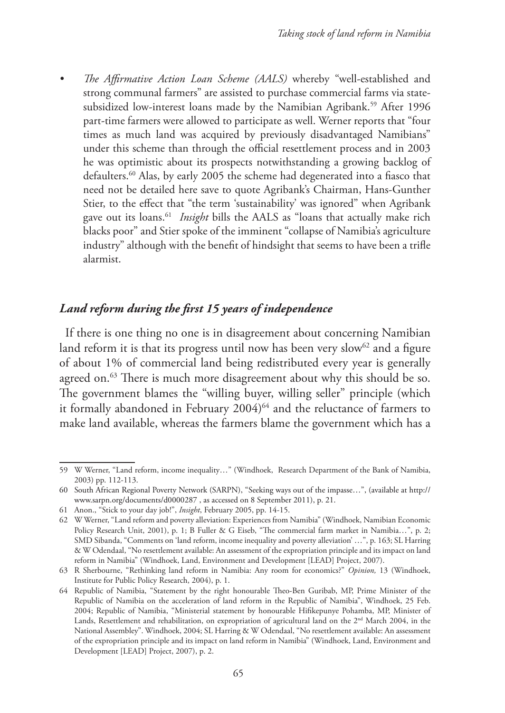*• The Affirmative Action Loan Scheme (AALS)* whereby "well-established and strong communal farmers" are assisted to purchase commercial farms via statesubsidized low-interest loans made by the Namibian Agribank.<sup>59</sup> After 1996 part-time farmers were allowed to participate as well. Werner reports that "four times as much land was acquired by previously disadvantaged Namibians" under this scheme than through the official resettlement process and in 2003 he was optimistic about its prospects notwithstanding a growing backlog of defaulters.<sup>60</sup> Alas, by early 2005 the scheme had degenerated into a fiasco that need not be detailed here save to quote Agribank's Chairman, Hans-Gunther Stier, to the effect that "the term 'sustainability' was ignored" when Agribank gave out its loans.61 *Insight* bills the AALS as "loans that actually make rich blacks poor" and Stier spoke of the imminent "collapse of Namibia's agriculture industry" although with the benefit of hindsight that seems to have been a trifle alarmist.

# *Land reform during the first 15 years of independence*

If there is one thing no one is in disagreement about concerning Namibian land reform it is that its progress until now has been very slow<sup>62</sup> and a figure of about 1% of commercial land being redistributed every year is generally agreed on.<sup>63</sup> There is much more disagreement about why this should be so. The government blames the "willing buyer, willing seller" principle (which it formally abandoned in February  $2004)^{64}$  and the reluctance of farmers to make land available, whereas the farmers blame the government which has a

<sup>59</sup> W Werner, "Land reform, income inequality…" (Windhoek, Research Department of the Bank of Namibia, 2003) pp. 112-113.

<sup>60</sup> South African Regional Poverty Network (SARPN), "Seeking ways out of the impasse…", (available at http:// www.sarpn.org/documents/d0000287 , as accessed on 8 September 2011), p. 21.

<sup>61</sup> Anon., "Stick to your day job!", *Insight*, February 2005, pp. 14-15.

<sup>62</sup> W Werner, "Land reform and poverty alleviation: Experiences from Namibia" (Windhoek, Namibian Economic Policy Research Unit, 2001), p. 1; B Fuller & G Eiseb, "The commercial farm market in Namibia…", p. 2; SMD Sibanda, "Comments on 'land reform, income inequality and poverty alleviation' …", p. 163; SL Harring & W Odendaal, "No resettlement available: An assessment of the expropriation principle and its impact on land reform in Namibia" (Windhoek, Land, Environment and Development [LEAD] Project, 2007).

<sup>63</sup> R Sherbourne, "Rethinking land reform in Namibia: Any room for economics?" *Opinion,* 13 (Windhoek, Institute for Public Policy Research, 2004), p. 1.

<sup>64</sup> Republic of Namibia, "Statement by the right honourable Theo-Ben Guribab, MP, Prime Minister of the Republic of Namibia on the acceleration of land reform in the Republic of Namibia", Windhoek, 25 Feb. 2004; Republic of Namibia, "Ministerial statement by honourable Hifikepunye Pohamba, MP, Minister of Lands, Resettlement and rehabilitation, on expropriation of agricultural land on the 2<sup>nd</sup> March 2004, in the National Assembley". Windhoek, 2004; SL Harring & W Odendaal, "No resettlement available: An assessment of the expropriation principle and its impact on land reform in Namibia" (Windhoek, Land, Environment and Development [LEAD] Project, 2007), p. 2.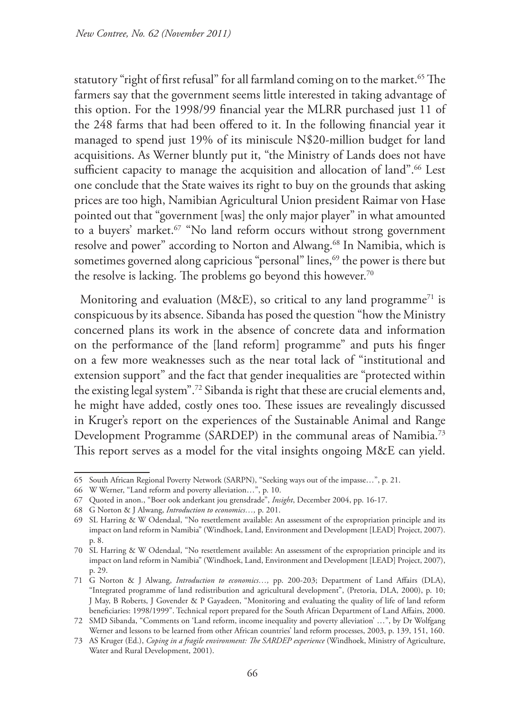statutory "right of first refusal" for all farmland coming on to the market.<sup>65</sup> The farmers say that the government seems little interested in taking advantage of this option. For the 1998/99 financial year the MLRR purchased just 11 of the 248 farms that had been offered to it. In the following financial year it managed to spend just 19% of its miniscule N\$20-million budget for land acquisitions. As Werner bluntly put it, "the Ministry of Lands does not have sufficient capacity to manage the acquisition and allocation of land".<sup>66</sup> Lest one conclude that the State waives its right to buy on the grounds that asking prices are too high, Namibian Agricultural Union president Raimar von Hase pointed out that "government [was] the only major player" in what amounted to a buyers' market.<sup>67</sup> "No land reform occurs without strong government resolve and power" according to Norton and Alwang.<sup>68</sup> In Namibia, which is sometimes governed along capricious "personal" lines,<sup>69</sup> the power is there but the resolve is lacking. The problems go beyond this however.<sup>70</sup>

Monitoring and evaluation (M&E), so critical to any land programme<sup>71</sup> is conspicuous by its absence. Sibanda has posed the question "how the Ministry concerned plans its work in the absence of concrete data and information on the performance of the [land reform] programme" and puts his finger on a few more weaknesses such as the near total lack of "institutional and extension support" and the fact that gender inequalities are "protected within the existing legal system".72 Sibanda is right that these are crucial elements and, he might have added, costly ones too. These issues are revealingly discussed in Kruger's report on the experiences of the Sustainable Animal and Range Development Programme (SARDEP) in the communal areas of Namibia.73 This report serves as a model for the vital insights ongoing M&E can yield.

<sup>65</sup> South African Regional Poverty Network (SARPN), "Seeking ways out of the impasse…", p. 21.

<sup>66</sup> W Werner, "Land reform and poverty alleviation…", p. 10.

<sup>67</sup> Quoted in anon., "Boer ook anderkant jou grensdrade", *Insight*, December 2004, pp. 16-17.

<sup>68</sup> G Norton & J Alwang, *Introduction to economics…,* p. 201.

<sup>69</sup> SL Harring & W Odendaal, "No resettlement available: An assessment of the expropriation principle and its impact on land reform in Namibia" (Windhoek, Land, Environment and Development [LEAD] Project, 2007). p. 8.

<sup>70</sup> SL Harring & W Odendaal, "No resettlement available: An assessment of the expropriation principle and its impact on land reform in Namibia" (Windhoek, Land, Environment and Development [LEAD] Project, 2007), p. 29.

<sup>71</sup> G Norton & J Alwang, *Introduction to economics…,* pp. 200-203; Department of Land Affairs (DLA), "Integrated programme of land redistribution and agricultural development", (Pretoria, DLA, 2000), p. 10; J May, B Roberts, J Govender & P Gayadeen, "Monitoring and evaluating the quality of life of land reform beneficiaries: 1998/1999". Technical report prepared for the South African Department of Land Affairs, 2000.

<sup>72</sup> SMD Sibanda, "Comments on 'Land reform, income inequality and poverty alleviation' …", by Dr Wolfgang Werner and lessons to be learned from other African countries' land reform processes, 2003, p. 139, 151, 160.

<sup>73</sup> AS Kruger (Ed.), *Coping in a fragile environment: The SARDEP experience* (Windhoek, Ministry of Agriculture, Water and Rural Development, 2001).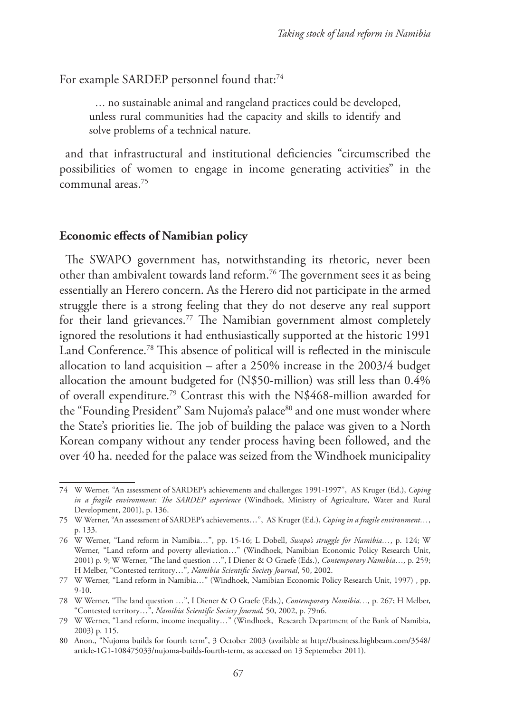For example SARDEP personnel found that:<sup>74</sup>

… no sustainable animal and rangeland practices could be developed, unless rural communities had the capacity and skills to identify and solve problems of a technical nature.

and that infrastructural and institutional deficiencies "circumscribed the possibilities of women to engage in income generating activities" in the communal areas.75

### **Economic effects of Namibian policy**

The SWAPO government has, notwithstanding its rhetoric, never been other than ambivalent towards land reform.76 The government sees it as being essentially an Herero concern. As the Herero did not participate in the armed struggle there is a strong feeling that they do not deserve any real support for their land grievances.<sup>77</sup> The Namibian government almost completely ignored the resolutions it had enthusiastically supported at the historic 1991 Land Conference.78 This absence of political will is reflected in the miniscule allocation to land acquisition – after a 250% increase in the 2003/4 budget allocation the amount budgeted for (N\$50-million) was still less than 0.4% of overall expenditure.79 Contrast this with the N\$468-million awarded for the "Founding President" Sam Nujoma's palace<sup>80</sup> and one must wonder where the State's priorities lie. The job of building the palace was given to a North Korean company without any tender process having been followed, and the over 40 ha. needed for the palace was seized from the Windhoek municipality

<sup>74</sup> W Werner, "An assessment of SARDEP's achievements and challenges: 1991-1997", AS Kruger (Ed.), *Coping in a fragile environment: The SARDEP experience* (Windhoek, Ministry of Agriculture, Water and Rural Development, 2001), p. 136.

<sup>75</sup> W Werner, "An assessment of SARDEP's achievements…", AS Kruger (Ed.), *Coping in a fragile environment…*, p. 133.

<sup>76</sup> W Werner, "Land reform in Namibia…", pp. 15-16; L Dobell, *Swapo's struggle for Namibia…*, p. 124; W Werner, "Land reform and poverty alleviation…" (Windhoek, Namibian Economic Policy Research Unit, 2001) p. 9; W Werner, "The land question …", I Diener & O Graefe (Eds.), *Contemporary Namibia…,* p. 259; H Melber, "Contested territory…", *Namibia Scientific Society Journal*, 50, 2002.

<sup>77</sup> W Werner, "Land reform in Namibia…" (Windhoek, Namibian Economic Policy Research Unit, 1997) , pp. 9-10.

<sup>78</sup> W Werner, "The land question …", I Diener & O Graefe (Eds.), *Contemporary Namibia…,* p. 267; H Melber, "Contested territory…", *Namibia Scientific Society Journal*, 50, 2002, p. 79n6.

<sup>79</sup> W Werner, "Land reform, income inequality…" (Windhoek, Research Department of the Bank of Namibia, 2003) p. 115.

<sup>80</sup> Anon., "Nujoma builds for fourth term", 3 October 2003 (available at http://business.highbeam.com/3548/ article-1G1-108475033/nujoma-builds-fourth-term, as accessed on 13 Septemeber 2011).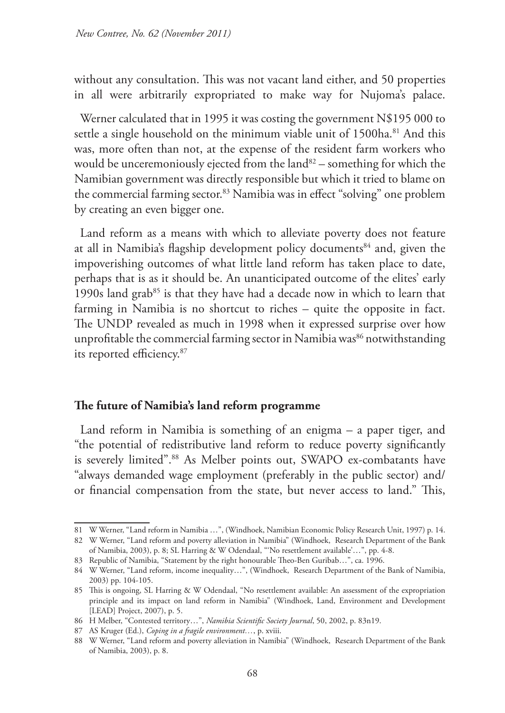without any consultation. This was not vacant land either, and 50 properties in all were arbitrarily expropriated to make way for Nujoma's palace.

Werner calculated that in 1995 it was costing the government N\$195 000 to settle a single household on the minimum viable unit of 1500ha.<sup>81</sup> And this was, more often than not, at the expense of the resident farm workers who would be unceremoniously ejected from the land $82-$  something for which the Namibian government was directly responsible but which it tried to blame on the commercial farming sector.<sup>83</sup> Namibia was in effect "solving" one problem by creating an even bigger one.

Land reform as a means with which to alleviate poverty does not feature at all in Namibia's flagship development policy documents<sup>84</sup> and, given the impoverishing outcomes of what little land reform has taken place to date, perhaps that is as it should be. An unanticipated outcome of the elites' early 1990s land grab $85$  is that they have had a decade now in which to learn that farming in Namibia is no shortcut to riches – quite the opposite in fact. The UNDP revealed as much in 1998 when it expressed surprise over how unprofitable the commercial farming sector in Namibia was<sup>86</sup> notwithstanding its reported efficiency.87

### **The future of Namibia's land reform programme**

Land reform in Namibia is something of an enigma – a paper tiger, and "the potential of redistributive land reform to reduce poverty significantly is severely limited".<sup>88</sup> As Melber points out, SWAPO ex-combatants have "always demanded wage employment (preferably in the public sector) and/ or financial compensation from the state, but never access to land." This,

<sup>81</sup> W Werner, "Land reform in Namibia …", (Windhoek, Namibian Economic Policy Research Unit, 1997) p. 14.

<sup>82</sup> W Werner, "Land reform and poverty alleviation in Namibia" (Windhoek, Research Department of the Bank of Namibia, 2003), p. 8; SL Harring & W Odendaal, "'No resettlement available'…", pp. 4-8.

<sup>83</sup> Republic of Namibia, "Statement by the right honourable Theo-Ben Guribab…", ca. 1996.

<sup>84</sup> W Werner, "Land reform, income inequality…", (Windhoek, Research Department of the Bank of Namibia, 2003) pp. 104-105.

<sup>85</sup> This is ongoing, SL Harring & W Odendaal, "No resettlement available: An assessment of the expropriation principle and its impact on land reform in Namibia" (Windhoek, Land, Environment and Development [LEAD] Project, 2007), p. 5.

<sup>86</sup> H Melber, "Contested territory…", *Namibia Scientific Society Journal*, 50, 2002, p. 83n19.

<sup>87</sup> AS Kruger (Ed.), *Coping in a fragile environment…*, p. xviii.

<sup>88</sup> W Werner, "Land reform and poverty alleviation in Namibia" (Windhoek, Research Department of the Bank of Namibia, 2003), p. 8.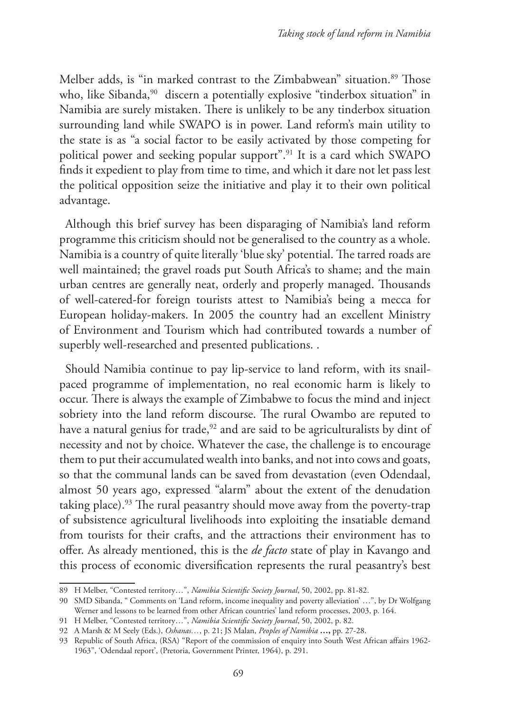Melber adds, is "in marked contrast to the Zimbabwean" situation.<sup>89</sup> Those who, like Sibanda,<sup>90</sup> discern a potentially explosive "tinderbox situation" in Namibia are surely mistaken. There is unlikely to be any tinderbox situation surrounding land while SWAPO is in power. Land reform's main utility to the state is as "a social factor to be easily activated by those competing for political power and seeking popular support".91 It is a card which SWAPO finds it expedient to play from time to time, and which it dare not let pass lest the political opposition seize the initiative and play it to their own political advantage.

Although this brief survey has been disparaging of Namibia's land reform programme this criticism should not be generalised to the country as a whole. Namibia is a country of quite literally 'blue sky' potential. The tarred roads are well maintained; the gravel roads put South Africa's to shame; and the main urban centres are generally neat, orderly and properly managed. Thousands of well-catered-for foreign tourists attest to Namibia's being a mecca for European holiday-makers. In 2005 the country had an excellent Ministry of Environment and Tourism which had contributed towards a number of superbly well-researched and presented publications. .

Should Namibia continue to pay lip-service to land reform, with its snailpaced programme of implementation, no real economic harm is likely to occur. There is always the example of Zimbabwe to focus the mind and inject sobriety into the land reform discourse. The rural Owambo are reputed to have a natural genius for trade,<sup>92</sup> and are said to be agriculturalists by dint of necessity and not by choice. Whatever the case, the challenge is to encourage them to put their accumulated wealth into banks, and not into cows and goats, so that the communal lands can be saved from devastation (even Odendaal, almost 50 years ago, expressed "alarm" about the extent of the denudation taking place).93 The rural peasantry should move away from the poverty-trap of subsistence agricultural livelihoods into exploiting the insatiable demand from tourists for their crafts, and the attractions their environment has to offer. As already mentioned, this is the *de facto* state of play in Kavango and this process of economic diversification represents the rural peasantry's best

<sup>89</sup> H Melber, "Contested territory…", *Namibia Scientific Society Journal*, 50, 2002, pp. 81-82.

<sup>90</sup> SMD Sibanda, " Comments on 'Land reform, income inequality and poverty alleviation' …", by Dr Wolfgang Werner and lessons to be learned from other African countries' land reform processes, 2003, p. 164.

<sup>91</sup> H Melber, "Contested territory…", *Namibia Scientific Society Journal*, 50, 2002, p. 82.

<sup>92</sup> A Marsh & M Seely (Eds.), *Oshanas…*, p. 21; JS Malan, *Peoples of Namibia* **…,** pp. 27-28.

<sup>93</sup> Republic of South Africa, (RSA) "Report of the commission of enquiry into South West African affairs 1962- 1963", 'Odendaal report', (Pretoria, Government Printer, 1964), p. 291.